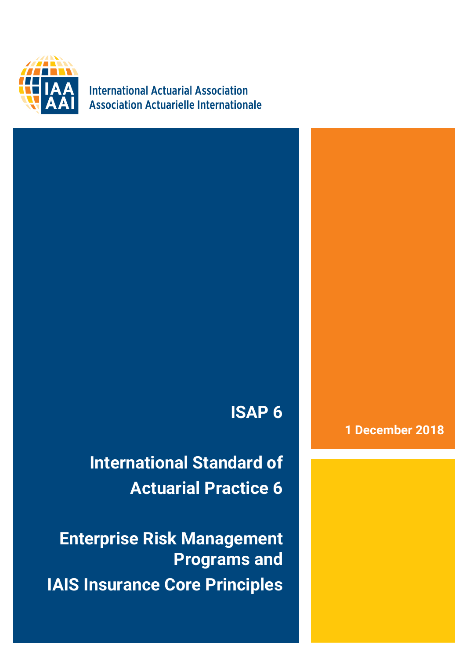

**International Actuarial Association Association Actuarielle Internationale** 

# **ISAP 6**

**International Standard of Actuarial Practice 6**

**Enterprise Risk Management Programs and IAIS Insurance Core Principles**

### **1 December 2018**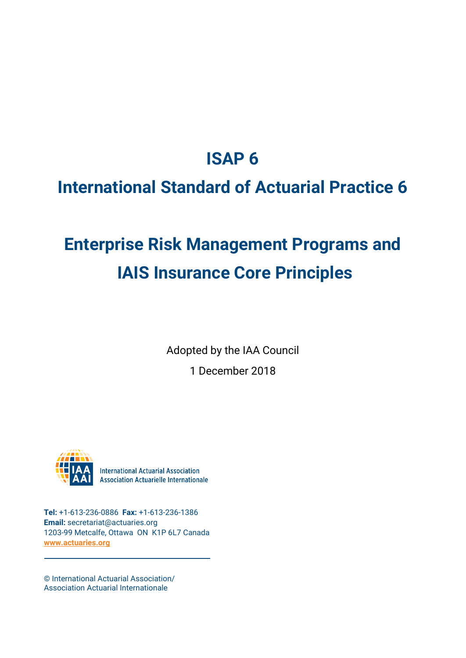## **ISAP 6**

## **International Standard of Actuarial Practice 6**

# **Enterprise Risk Management Programs and IAIS Insurance Core Principles**

Adopted by the IAA Council

1 December 2018



**International Actuarial Association Association Actuarielle Internationale** 

**Tel:** +1-613-236-0886 **Fax:** +1-613-236-1386 **Email:** secretariat@actuaries.org 1203-99 Metcalfe, Ottawa ON K1P 6L7 Canada **[www.actuaries.org](http://www.actuaries.org/)**

© International Actuarial Association/ Association Actuarial Internationale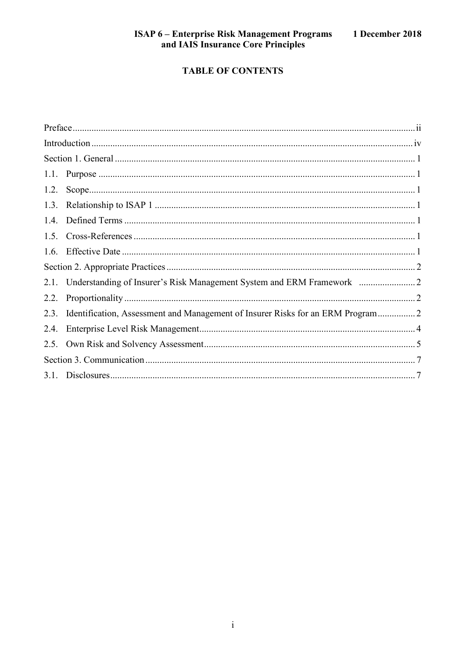### **TABLE OF CONTENTS**

|      | 2.1. Understanding of Insurer's Risk Management System and ERM Framework        |  |
|------|---------------------------------------------------------------------------------|--|
| 2.2. |                                                                                 |  |
| 2.3. | Identification, Assessment and Management of Insurer Risks for an ERM Program 2 |  |
| 2.4. |                                                                                 |  |
|      |                                                                                 |  |
|      |                                                                                 |  |
|      |                                                                                 |  |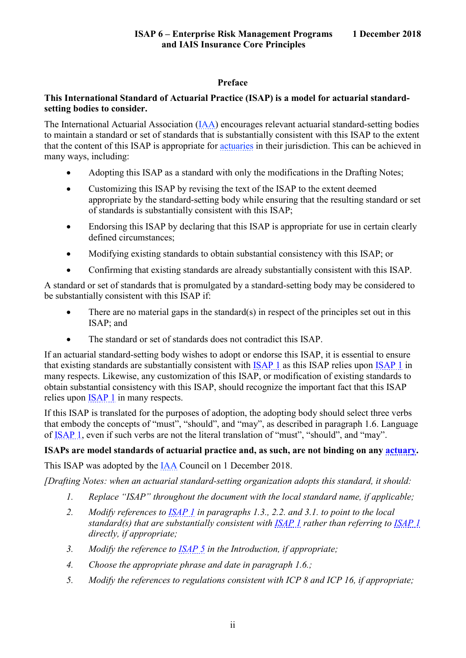#### **Preface**

#### <span id="page-3-0"></span>**This International Standard of Actuarial Practice (ISAP) is a model for actuarial standardsetting bodies to consider.**

The International Actuarial Association [\(IAA\)](https://www.actuaries.org/IAA/Documents/CTTEES_ASC/ISAPs_Glossary_Terms/IAA.html) encourages relevant actuarial standard-setting bodies to maintain a standard or set of standards that is substantially consistent with this ISAP to the extent that the content of this ISAP is appropriate for [actuaries](https://www.actuaries.org/IAA/Documents/CTTEES_ASC/ISAPs_Glossary_Terms/Actuary.html) in their jurisdiction. This can be achieved in many ways, including:

- Adopting this ISAP as a standard with only the modifications in the Drafting Notes;
- Customizing this ISAP by revising the text of the ISAP to the extent deemed appropriate by the standard-setting body while ensuring that the resulting standard or set of standards is substantially consistent with this ISAP;
- Endorsing this ISAP by declaring that this ISAP is appropriate for use in certain clearly defined circumstances;
- Modifying existing standards to obtain substantial consistency with this ISAP; or
- Confirming that existing standards are already substantially consistent with this ISAP.

A standard or set of standards that is promulgated by a standard-setting body may be considered to be substantially consistent with this ISAP if:

- There are no material gaps in the standard(s) in respect of the principles set out in this ISAP; and
- The standard or set of standards does not contradict this ISAP.

If an actuarial standard-setting body wishes to adopt or endorse this ISAP, it is essential to ensure that existing standards are substantially consistent with [ISAP 1](https://www.actuaries.org/IAA/Documents/CTTEES_ASC/Final_ISAPs_Posted/ISAP1_Review_adopted_1Dec2018.pdf) as this ISAP relies upon [ISAP 1](https://www.actuaries.org/IAA/Documents/CTTEES_ASC/Final_ISAPs_Posted/ISAP1_Review_adopted_1Dec2018.pdf) in many respects. Likewise, any customization of this ISAP, or modification of existing standards to obtain substantial consistency with this ISAP, should recognize the important fact that this ISAP relies upon [ISAP 1](https://www.actuaries.org/IAA/Documents/CTTEES_ASC/Final_ISAPs_Posted/ISAP1_Review_adopted_1Dec2018.pdf) in many respects.

If this ISAP is translated for the purposes of adoption, the adopting body should select three verbs that embody the concepts of "must", "should", and "may", as described in paragraph 1.6. Language of [ISAP 1,](https://www.actuaries.org/IAA/Documents/CTTEES_ASC/Final_ISAPs_Posted/ISAP1_Review_adopted_1Dec2018.pdf) even if such verbs are not the literal translation of "must", "should", and "may".

#### **ISAPs are model standards of actuarial practice and, as such, are not binding on any [actuary.](https://www.actuaries.org/IAA/Documents/CTTEES_ASC/ISAPs_Glossary_Terms/Actuary.html)**

This ISAP was adopted by the [IAA](https://www.actuaries.org/IAA/Documents/CTTEES_ASC/ISAPs_Glossary_Terms/IAA.html) Council on 1 December 2018.

*[Drafting Notes: when an actuarial standard-setting organization adopts this standard, it should:*

- *1. Replace "ISAP" throughout the document with the local standard name, if applicable;*
- *2. Modify references to [ISAP 1](https://www.actuaries.org/IAA/Documents/CTTEES_ASC/Final_ISAPs_Posted/ISAP1_Review_adopted_1Dec2018.pdf) in paragraphs [1.3.](#page-7-3), [2.2.](#page-8-2) and [3.1.](#page-13-1) to point to the local standard(s) that are substantially consistent with [ISAP 1](https://www.actuaries.org/IAA/Documents/CTTEES_ASC/Final_ISAPs_Posted/ISAP1_Review_adopted_1Dec2018.pdf) rather than referring to [ISAP 1](https://www.actuaries.org/IAA/Documents/CTTEES_ASC/Final_ISAPs_Posted/ISAP1_Review_adopted_1Dec2018.pdf) directly, if appropriate;*
- *3. Modify the reference to [ISAP 5](https://www.actuaries.org/IAA/Documents/CTTEES_ASC/Final_ISAPs_Posted/ISAP5_ConformanceChanges_1Dec2018.pdf) in the Introduction, if appropriate;*
- *4. Choose the appropriate phrase and date in paragraph [1.6.](#page-7-6);*
- *5. Modify the references to regulations consistent with ICP 8 and ICP 16, if appropriate;*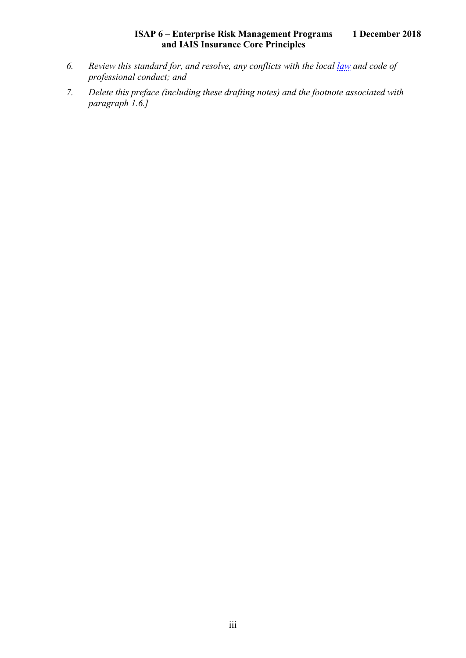- *6. Review this standard for, and resolve, any conflicts with the local [law](https://www.actuaries.org/IAA/Documents/CTTEES_ASC/ISAPs_Glossary_Terms/Law.html) and code of professional conduct; and*
- *7. Delete this preface (including these drafting notes) and the footnote associated with paragraph [1.6.](#page-7-6)]*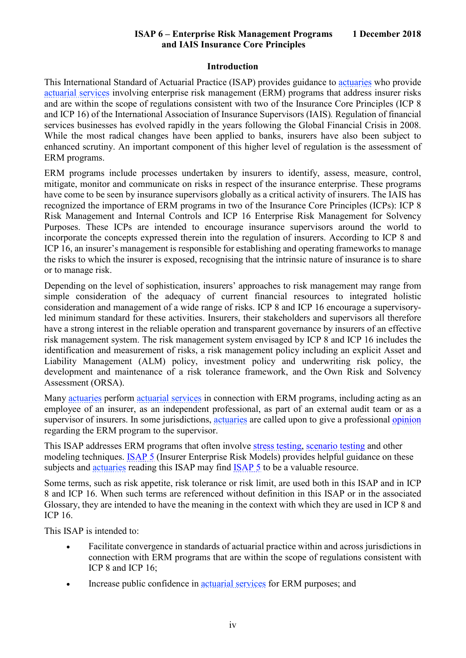#### **Introduction**

<span id="page-5-0"></span>This International Standard of Actuarial Practice (ISAP) provides guidance to [actuaries](https://www.actuaries.org/IAA/Documents/CTTEES_ASC/ISAPs_Glossary_Terms/Actuary.html) who provide [actuarial services](https://www.actuaries.org/IAA/Documents/CTTEES_ASC/ISAPs_Glossary_Terms/Actuarial_Services.html) involving enterprise risk management (ERM) programs that address insurer risks and are within the scope of regulations consistent with two of the Insurance Core Principles (ICP 8 and ICP 16) of the International Association of Insurance Supervisors (IAIS)*.* Regulation of financial services businesses has evolved rapidly in the years following the Global Financial Crisis in 2008. While the most radical changes have been applied to banks, insurers have also been subject to enhanced scrutiny. An important component of this higher level of regulation is the assessment of ERM programs.

ERM programs include processes undertaken by insurers to identify, assess, measure, control, mitigate, monitor and communicate on risks in respect of the insurance enterprise. These programs have come to be seen by insurance supervisors globally as a critical activity of insurers. The IAIS has recognized the importance of ERM programs in two of the Insurance Core Principles (ICPs): ICP 8 Risk Management and Internal Controls and ICP 16 Enterprise Risk Management for Solvency Purposes. These ICPs are intended to encourage insurance supervisors around the world to incorporate the concepts expressed therein into the regulation of insurers. According to ICP 8 and ICP 16, an insurer's management is responsible for establishing and operating frameworks to manage the risks to which the insurer is exposed, recognising that the intrinsic nature of insurance is to share or to manage risk.

Depending on the level of sophistication, insurers' approaches to risk management may range from simple consideration of the adequacy of current financial resources to integrated holistic consideration and management of a wide range of risks. ICP 8 and ICP 16 encourage a supervisoryled minimum standard for these activities. Insurers, their stakeholders and supervisors all therefore have a strong interest in the reliable operation and transparent governance by insurers of an effective risk management system. The risk management system envisaged by ICP 8 and ICP 16 includes the identification and measurement of risks, a risk management policy including an explicit Asset and Liability Management (ALM) policy, investment policy and underwriting risk policy, the development and maintenance of a risk tolerance framework, and the Own Risk and Solvency Assessment (ORSA).

Many [actuaries](https://www.actuaries.org/IAA/Documents/CTTEES_ASC/ISAPs_Glossary_Terms/Actuary.html) perform [actuarial services](https://www.actuaries.org/IAA/Documents/CTTEES_ASC/ISAPs_Glossary_Terms/Actuarial_Services.html) in connection with ERM programs, including acting as an employee of an insurer, as an independent professional, as part of an external audit team or as a supervisor of insurers. In some jurisdictions, [actuaries](https://www.actuaries.org/IAA/Documents/CTTEES_ASC/ISAPs_Glossary_Terms/Actuary.html) are called upon to give a professional [opinion](https://www.actuaries.org/IAA/Documents/CTTEES_ASC/ISAPs_Glossary_Terms/opinion.html) regarding the ERM program to the supervisor.

This ISAP addresses ERM programs that often involve [stress testing,](https://www.actuaries.org/IAA/Documents/CTTEES_ASC/ISAPs_Glossary_Terms/Stress_Test.html) [scenario testing](https://www.actuaries.org/IAA/Documents/CTTEES_ASC/ISAPs_Glossary_Terms/Scenario_Test.html) and other modeling techniques. [ISAP 5](https://www.actuaries.org/IAA/Documents/CTTEES_ASC/Final_ISAPs_Posted/ISAP5_ConformanceChanges_1Dec2018.pdf) (Insurer Enterprise Risk Models) provides helpful guidance on these subjects and [actuaries](https://www.actuaries.org/IAA/Documents/CTTEES_ASC/ISAPs_Glossary_Terms/Actuary.html) reading this ISAP may find [ISAP 5](https://www.actuaries.org/IAA/Documents/CTTEES_ASC/Final_ISAPs_Posted/ISAP5_ConformanceChanges_1Dec2018.pdf) to be a valuable resource.

Some terms, such as risk appetite, risk tolerance or risk limit, are used both in this ISAP and in ICP 8 and ICP 16. When such terms are referenced without definition in this ISAP or in the associated Glossary, they are intended to have the meaning in the context with which they are used in ICP 8 and ICP 16.

This ISAP is intended to:

- Facilitate convergence in standards of actuarial practice within and across jurisdictions in connection with ERM programs that are within the scope of regulations consistent with ICP 8 and ICP 16;
- Increase public confidence in [actuarial services](https://www.actuaries.org/IAA/Documents/CTTEES_ASC/ISAPs_Glossary_Terms/Actuarial_Services.html) for ERM purposes; and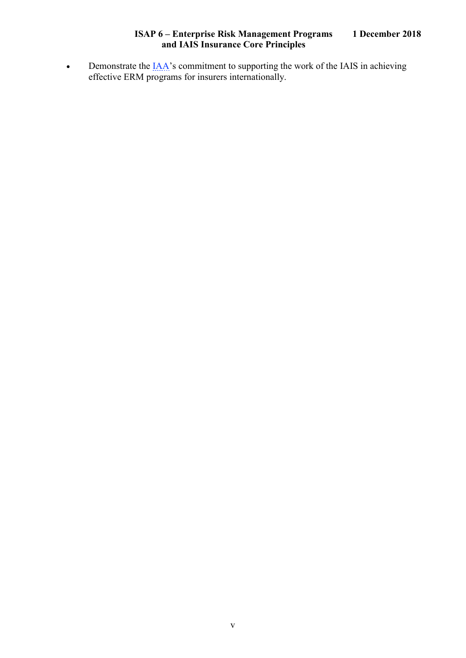• Demonstrate the <u>IAA</u>'s commitment to supporting the work of the IAIS in achieving effective ERM programs for insurers internationally.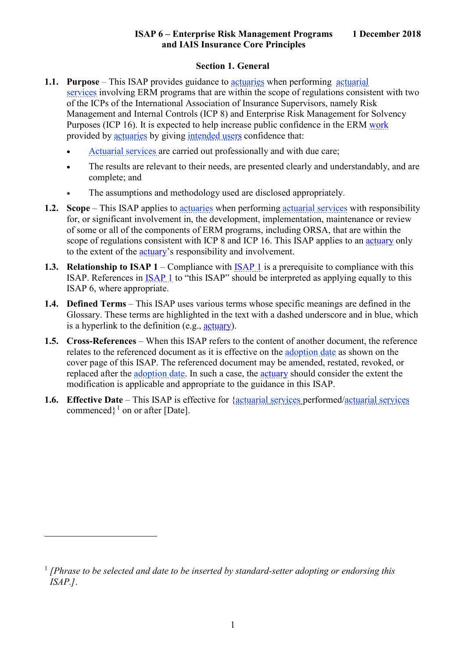#### **Section 1. General**

- <span id="page-7-1"></span><span id="page-7-0"></span>**1.1. Purpose** – This ISAP provides guidance to [actuaries](https://www.actuaries.org/IAA/Documents/CTTEES_ASC/ISAPs_Glossary_Terms/Actuary.html) when performing [actuarial](https://www.actuaries.org/IAA/Documents/CTTEES_ASC/ISAPs_Glossary_Terms/Actuarial_Services.html)  [services](https://www.actuaries.org/IAA/Documents/CTTEES_ASC/ISAPs_Glossary_Terms/Actuarial_Services.html) involving ERM programs that are within the scope of regulations consistent with two of the ICPs of the International Association of Insurance Supervisors, namely Risk Management and Internal Controls (ICP 8) and Enterprise Risk Management for Solvency Purposes (ICP 16). It is expected to help increase public confidence in the ERM [work](https://www.actuaries.org/IAA/Documents/CTTEES_ASC/ISAPs_Glossary_Terms/Work.html) provided by [actuaries](https://www.actuaries.org/IAA/Documents/CTTEES_ASC/ISAPs_Glossary_Terms/Actuary.html) by giving [intended users](https://www.actuaries.org/IAA/Documents/CTTEES_ASC/ISAPs_Glossary_Terms/Intended_User.html) confidence that:
	- [Actuarial services](https://www.actuaires.org/CTTEES_ASC/isapglossary/actuarial_services.htm) are carried out professionally and with due care;
	- The results are relevant to their needs, are presented clearly and understandably, and are complete; and
	- The assumptions and methodology used are disclosed appropriately.
- <span id="page-7-2"></span>**1.2. Scope** – This ISAP applies to [actuaries](https://www.actuaries.org/IAA/Documents/CTTEES_ASC/ISAPs_Glossary_Terms/Actuary.html) when performing [actuarial services](https://www.actuaries.org/IAA/Documents/CTTEES_ASC/ISAPs_Glossary_Terms/Actuarial_Services.html) with responsibility for, or significant involvement in, the development, implementation, maintenance or review of some or all of the components of ERM programs, including ORSA, that are within the scope of regulations consistent with ICP 8 and ICP 16. This ISAP applies to an [actuary](https://www.actuaries.org/IAA/Documents/CTTEES_ASC/ISAPs_Glossary_Terms/Actuary.html) only to the extent of the [actuary'](https://www.actuaries.org/IAA/Documents/CTTEES_ASC/ISAPs_Glossary_Terms/Actuary.html)s responsibility and involvement.
- <span id="page-7-3"></span>**1.3. Relationship to [ISAP 1](https://www.actuaries.org/IAA/Documents/CTTEES_ASC/Final_ISAPs_Posted/ISAP1_Review_adopted_1Dec2018.pdf)** – Compliance with **ISAP 1** is a prerequisite to compliance with this ISAP. References in [ISAP 1](https://www.actuaries.org/IAA/Documents/CTTEES_ASC/Final_ISAPs_Posted/ISAP1_Review_adopted_1Dec2018.pdf) to "this ISAP" should be interpreted as applying equally to this ISAP 6, where appropriate.
- <span id="page-7-4"></span>**1.4. Defined Terms** – This ISAP uses various terms whose specific meanings are defined in the Glossary. These terms are highlighted in the text with a dashed underscore and in blue, which is a hyperlink to the definition (e.g., [actuary\)](https://www.actuaries.org/IAA/Documents/CTTEES_ASC/ISAPs_Glossary_Terms/Actuary.html).
- <span id="page-7-5"></span>**1.5. Cross-References** – When this ISAP refers to the content of another document, the reference relates to the referenced document as it is effective on the [adoption date](https://www.actuaries.org/IAA/Documents/CTTEES_ASC/ISAPs_Glossary_Terms/Adoption_Date.html) as shown on the cover page of this ISAP. The referenced document may be amended, restated, revoked, or replaced after the [adoption date.](https://www.actuaries.org/IAA/Documents/CTTEES_ASC/ISAPs_Glossary_Terms/Adoption_Date.html) In such a case, the [actuary](https://www.actuaries.org/IAA/Documents/CTTEES_ASC/ISAPs_Glossary_Terms/Actuary.html) should consider the extent the modification is applicable and appropriate to the guidance in this ISAP.
- <span id="page-7-6"></span>**1.6. Effective Date** – This ISAP is effective for [{actuarial services](https://www.actuaries.org/IAA/Documents/CTTEES_ASC/ISAPs_Glossary_Terms/Actuarial_Services.html) performed[/actuarial services](https://www.actuaries.org/IAA/Documents/CTTEES_ASC/ISAPs_Glossary_Terms/Actuarial_Services.html) commenced $\}$ <sup>[1](#page-7-7)</sup> on or after [Date].

 $\overline{a}$ 

<span id="page-7-7"></span><sup>1</sup> *[Phrase to be selected and date to be inserted by standard-setter adopting or endorsing this ISAP.]*.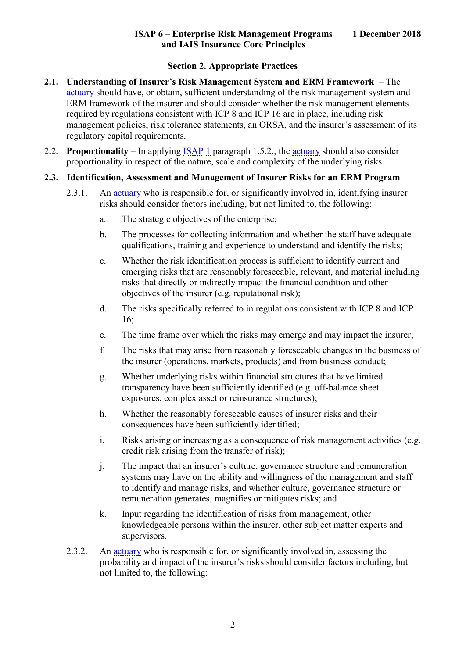#### **Section 2. Appropriate Practices**

- <span id="page-8-1"></span><span id="page-8-0"></span>**2.1. Understanding of Insurer's Risk Management System and ERM Framework** – The [actuary](https://www.actuaries.org/IAA/Documents/CTTEES_ASC/ISAPs_Glossary_Terms/Actuary.html) should have, or obtain, sufficient understanding of the risk management system and ERM framework of the insurer and should consider whether the risk management elements required by regulations consistent with ICP 8 and ICP 16 are in place, including risk management policies, risk tolerance statements, an ORSA, and the insurer's assessment of its regulatory capital requirements.
- <span id="page-8-2"></span>**2.2. Proportionality** – In applying [ISAP 1](https://www.actuaries.org/IAA/Documents/CTTEES_ASC/Final_ISAPs_Posted/ISAP1_Review_adopted_1Dec2018.pdf) paragraph 1.5.2., the [actuary](https://www.actuaries.org/IAA/Documents/CTTEES_ASC/ISAPs_Glossary_Terms/Actuary.html) should also consider proportionality in respect of the nature, scale and complexity of the underlying risks.
- <span id="page-8-5"></span><span id="page-8-4"></span><span id="page-8-3"></span>**2.3. Identification, Assessment and Management of Insurer Risks for an ERM Program**
	- 2.3.1. An [actuary](https://www.actuaries.org/IAA/Documents/CTTEES_ASC/ISAPs_Glossary_Terms/Actuary.html) who is responsible for, or significantly involved in, identifying insurer risks should consider factors including, but not limited to, the following:
		- a. The strategic objectives of the enterprise;
		- b. The processes for collecting information and whether the staff have adequate qualifications, training and experience to understand and identify the risks;
		- c. Whether the risk identification process is sufficient to identify current and emerging risks that are reasonably foreseeable, relevant, and material including risks that directly or indirectly impact the financial condition and other objectives of the insurer (e.g. reputational risk);
		- d. The risks specifically referred to in regulations consistent with ICP 8 and ICP 16;
		- e. The time frame over which the risks may emerge and may impact the insurer;
		- f. The risks that may arise from reasonably foreseeable changes in the business of the insurer (operations, markets, products) and from business conduct;
		- g. Whether underlying risks within financial structures that have limited transparency have been sufficiently identified (e.g. off-balance sheet exposures, complex asset or reinsurance structures);
		- h. Whether the reasonably foreseeable causes of insurer risks and their consequences have been sufficiently identified;
		- i. Risks arising or increasing as a consequence of risk management activities (e.g. credit risk arising from the transfer of risk);
		- j. The impact that an insurer's culture, governance structure and remuneration systems may have on the ability and willingness of the management and staff to identify and manage risks, and whether culture, governance structure or remuneration generates, magnifies or mitigates risks; and
		- k. Input regarding the identification of risks from management, other knowledgeable persons within the insurer, other subject matter experts and supervisors.
	- 2.3.2. An [actuary](https://www.actuaries.org/IAA/Documents/CTTEES_ASC/ISAPs_Glossary_Terms/Actuary.html) who is responsible for, or significantly involved in, assessing the probability and impact of the insurer's risks should consider factors including, but not limited to, the following: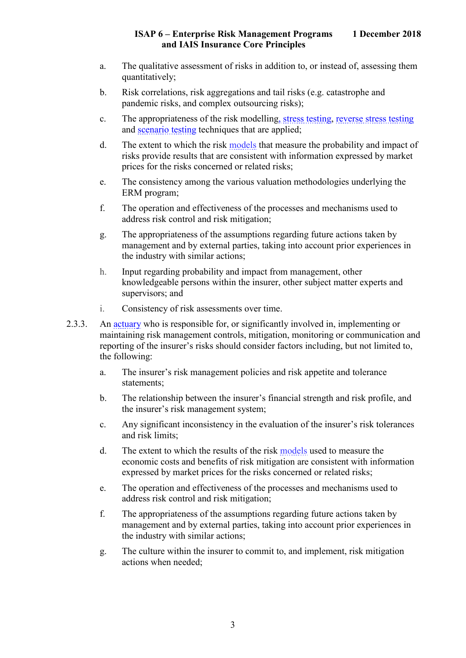- a. The qualitative assessment of risks in addition to, or instead of, assessing them quantitatively;
- b. Risk correlations, risk aggregations and tail risks (e.g. catastrophe and pandemic risks, and complex outsourcing risks);
- c. The appropriateness of the risk modelling, [stress testing,](https://www.actuaries.org/IAA/Documents/CTTEES_ASC/ISAPs_Glossary_Terms/Stress_Test.html) [reverse stress testing](https://www.actuaries.org/IAA/Documents/CTTEES_ASC/ISAPs_Glossary_Terms/Reverse_Stress_Test.html) and [scenario testing](https://www.actuaries.org/IAA/Documents/CTTEES_ASC/ISAPs_Glossary_Terms/Scenario_Test.html) techniques that are applied;
- d. The extent to which the risk [models](https://www.actuaries.org/IAA/Documents/CTTEES_ASC/ISAPs_Glossary_Terms/Model.html) that measure the probability and impact of risks provide results that are consistent with information expressed by market prices for the risks concerned or related risks;
- e. The consistency among the various valuation methodologies underlying the ERM program;
- f. The operation and effectiveness of the processes and mechanisms used to address risk control and risk mitigation;
- g. The appropriateness of the assumptions regarding future actions taken by management and by external parties, taking into account prior experiences in the industry with similar actions;
- h. Input regarding probability and impact from management, other knowledgeable persons within the insurer, other subject matter experts and supervisors; and
- i. Consistency of risk assessments over time.
- <span id="page-9-0"></span>2.3.3. An [actuary](https://www.actuaries.org/IAA/Documents/CTTEES_ASC/ISAPs_Glossary_Terms/Actuary.html) who is responsible for, or significantly involved in, implementing or maintaining risk management controls, mitigation, monitoring or communication and reporting of the insurer's risks should consider factors including, but not limited to, the following:
	- a. The insurer's risk management policies and risk appetite and tolerance statements;
	- b. The relationship between the insurer's financial strength and risk profile, and the insurer's risk management system;
	- c. Any significant inconsistency in the evaluation of the insurer's risk tolerances and risk limits;
	- d. The extent to which the results of the risk [models](https://www.actuaries.org/IAA/Documents/CTTEES_ASC/ISAPs_Glossary_Terms/Model.html) used to measure the economic costs and benefits of risk mitigation are consistent with information expressed by market prices for the risks concerned or related risks;
	- e. The operation and effectiveness of the processes and mechanisms used to address risk control and risk mitigation;
	- f. The appropriateness of the assumptions regarding future actions taken by management and by external parties, taking into account prior experiences in the industry with similar actions;
	- g. The culture within the insurer to commit to, and implement, risk mitigation actions when needed;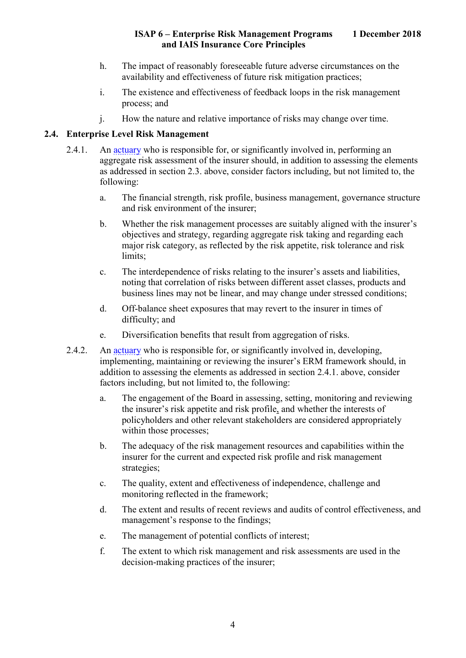- h. The impact of reasonably foreseeable future adverse circumstances on the availability and effectiveness of future risk mitigation practices;
- i. The existence and effectiveness of feedback loops in the risk management process; and
- j. How the nature and relative importance of risks may change over time.

#### <span id="page-10-1"></span><span id="page-10-0"></span>**2.4. Enterprise Level Risk Management**

- 2.4.1. An [actuary](https://www.actuaries.org/IAA/Documents/CTTEES_ASC/ISAPs_Glossary_Terms/Actuary.html) who is responsible for, or significantly involved in, performing an aggregate risk assessment of the insurer should, in addition to assessing the elements as addressed in section [2.3.](#page-8-3) above, consider factors including, but not limited to, the following:
	- a. The financial strength, risk profile, business management, governance structure and risk environment of the insurer;
	- b. Whether the risk management processes are suitably aligned with the insurer's objectives and strategy, regarding aggregate risk taking and regarding each major risk category, as reflected by the risk appetite, risk tolerance and risk limits;
	- c. The interdependence of risks relating to the insurer's assets and liabilities, noting that correlation of risks between different asset classes, products and business lines may not be linear, and may change under stressed conditions;
	- d. Off-balance sheet exposures that may revert to the insurer in times of difficulty; and
	- e. Diversification benefits that result from aggregation of risks.
- <span id="page-10-2"></span>2.4.2. An [actuary](https://www.actuaries.org/IAA/Documents/CTTEES_ASC/ISAPs_Glossary_Terms/Actuary.html) who is responsible for, or significantly involved in, developing, implementing, maintaining or reviewing the insurer's ERM framework should, in addition to assessing the elements as addressed in section [2.4.1.](#page-10-1) above, consider factors including, but not limited to, the following:
	- a. The engagement of the Board in assessing, setting, monitoring and reviewing the insurer's risk appetite and risk profile, and whether the interests of policyholders and other relevant stakeholders are considered appropriately within those processes;
	- b. The adequacy of the risk management resources and capabilities within the insurer for the current and expected risk profile and risk management strategies;
	- c. The quality, extent and effectiveness of independence, challenge and monitoring reflected in the framework;
	- d. The extent and results of recent reviews and audits of control effectiveness, and management's response to the findings;
	- e. The management of potential conflicts of interest;
	- f. The extent to which risk management and risk assessments are used in the decision-making practices of the insurer;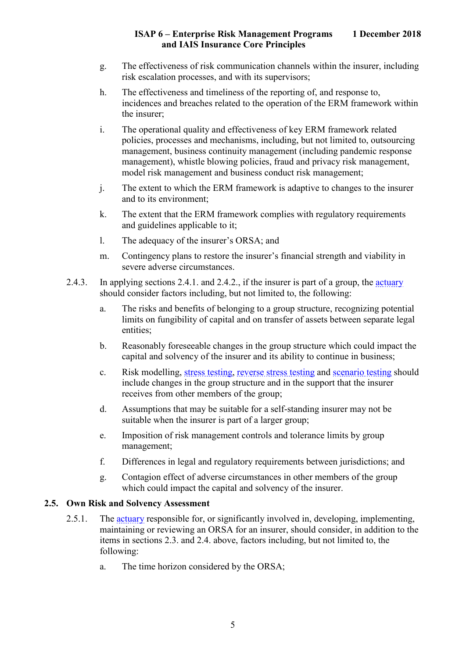- g. The effectiveness of risk communication channels within the insurer, including risk escalation processes, and with its supervisors;
- h. The effectiveness and timeliness of the reporting of, and response to, incidences and breaches related to the operation of the ERM framework within the insurer;
- i. The operational quality and effectiveness of key ERM framework related policies, processes and mechanisms, including, but not limited to, outsourcing management, business continuity management (including pandemic response management), whistle blowing policies, fraud and privacy risk management, model risk management and business conduct risk management;
- j. The extent to which the ERM framework is adaptive to changes to the insurer and to its environment;
- k. The extent that the ERM framework complies with regulatory requirements and guidelines applicable to it;
- l. The adequacy of the insurer's ORSA; and
- m. Contingency plans to restore the insurer's financial strength and viability in severe adverse circumstances.
- 2.4.3. In applying sections [2.4.1.](#page-10-1) and [2.4.2.](#page-10-2), if the insurer is part of a group, the [actuary](https://www.actuaries.org/IAA/Documents/CTTEES_ASC/ISAPs_Glossary_Terms/Actuary.html) should consider factors including, but not limited to, the following:
	- a. The risks and benefits of belonging to a group structure, recognizing potential limits on fungibility of capital and on transfer of assets between separate legal entities;
	- b. Reasonably foreseeable changes in the group structure which could impact the capital and solvency of the insurer and its ability to continue in business;
	- c. Risk modelling, [stress testing,](https://www.actuaries.org/IAA/Documents/CTTEES_ASC/ISAPs_Glossary_Terms/Stress_Test.html) [reverse stress testing](https://www.actuaries.org/IAA/Documents/CTTEES_ASC/ISAPs_Glossary_Terms/Reverse_Stress_Test.html) and [scenario testing](https://www.actuaries.org/IAA/Documents/CTTEES_ASC/ISAPs_Glossary_Terms/Scenario_Test.html) should include changes in the group structure and in the support that the insurer receives from other members of the group;
	- d. Assumptions that may be suitable for a self-standing insurer may not be suitable when the insurer is part of a larger group;
	- e. Imposition of risk management controls and tolerance limits by group management;
	- f. Differences in legal and regulatory requirements between jurisdictions; and
	- g. Contagion effect of adverse circumstances in other members of the group which could impact the capital and solvency of the insurer.

#### <span id="page-11-0"></span>**2.5. Own Risk and Solvency Assessment**

- 2.5.1. The [actuary](https://www.actuaries.org/IAA/Documents/CTTEES_ASC/ISAPs_Glossary_Terms/Actuary.html) responsible for, or significantly involved in, developing, implementing, maintaining or reviewing an ORSA for an insurer, should consider, in addition to the items in sections [2.3.](#page-8-3) and [2.4.](#page-10-0) above, factors including, but not limited to, the following:
	- a. The time horizon considered by the ORSA;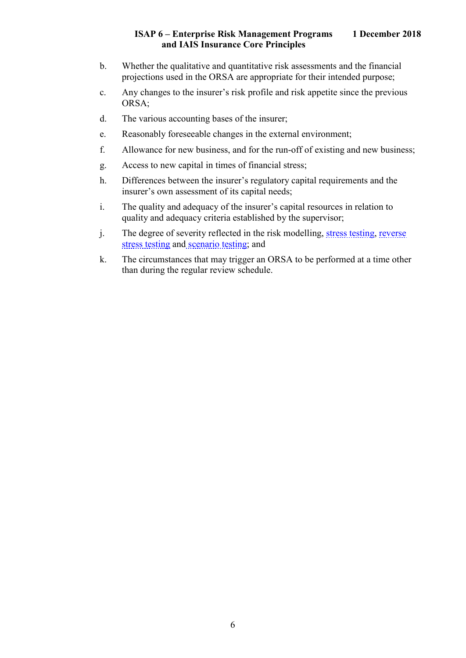- b. Whether the qualitative and quantitative risk assessments and the financial projections used in the ORSA are appropriate for their intended purpose;
- c. Any changes to the insurer's risk profile and risk appetite since the previous ORSA;
- d. The various accounting bases of the insurer;
- e. Reasonably foreseeable changes in the external environment;
- f. Allowance for new business, and for the run-off of existing and new business;
- g. Access to new capital in times of financial stress;
- h. Differences between the insurer's regulatory capital requirements and the insurer's own assessment of its capital needs;
- i. The quality and adequacy of the insurer's capital resources in relation to quality and adequacy criteria established by the supervisor;
- j. The degree of severity reflected in the risk modelling, [stress testing,](https://www.actuaries.org/IAA/Documents/CTTEES_ASC/ISAPs_Glossary_Terms/Stress_Test.html) [reverse](https://www.actuaries.org/IAA/Documents/CTTEES_ASC/ISAPs_Glossary_Terms/Reverse_Stress_Test.html)  [stress testing](https://www.actuaries.org/IAA/Documents/CTTEES_ASC/ISAPs_Glossary_Terms/Reverse_Stress_Test.html) and [scenario testing;](https://www.actuaries.org/IAA/Documents/CTTEES_ASC/ISAPs_Glossary_Terms/Scenario_Test.html) and
- k. The circumstances that may trigger an ORSA to be performed at a time other than during the regular review schedule.